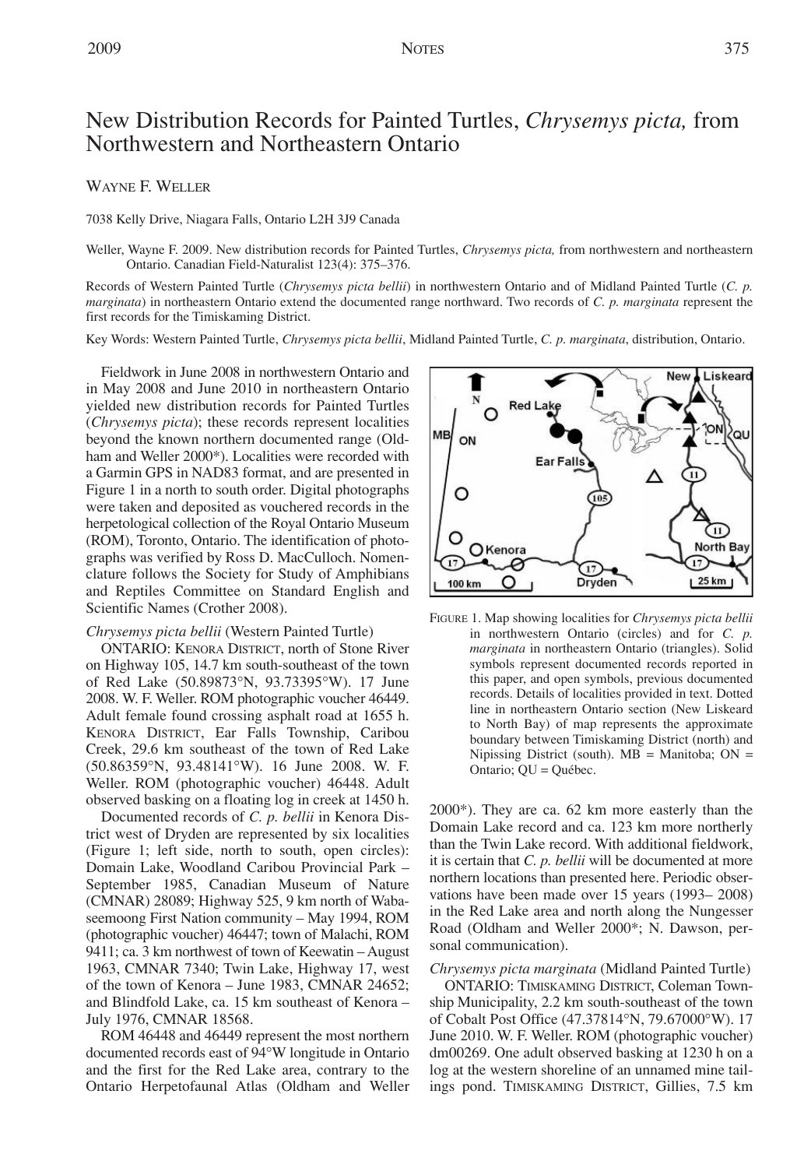# New Distribution Records for Painted Turtles, *Chrysemys picta,* from Northwestern and Northeastern Ontario

## WAYNE F. WELLER

7038 Kelly Drive, Niagara Falls, Ontario L2H 3J9 Canada

Weller, Wayne F. 2009. New distribution records for Painted Turtles, *Chrysemys picta,* from northwestern and northeastern Ontario. Canadian Field-Naturalist 123(4): 375–376.

Records of Western Painted Turtle (*Chrysemys picta bellii*) in northwestern Ontario and of Midland Painted Turtle (*C. p. marginata*) in northeastern Ontario extend the documented range northward. Two records of *C. p. marginata* represent the first records for the Timiskaming District.

Key Words: Western Painted Turtle, *Chrysemys picta bellii*, Midland Painted Turtle, *C. p. marginata*, distribution, Ontario.

Fieldwork in June 2008 in northwestern Ontario and in May 2008 and June 2010 in northeastern Ontario yielded new distribution records for Painted Turtles (*Chrysemys picta*); these records represent localities beyond the known northern documented range (Oldham and Weller 2000\*). Localities were recorded with a Garmin GPS in NAD83 format, and are presented in Figure 1 in a north to south order. Digital photographs were taken and deposited as vouchered records in the herpetological collection of the Royal Ontario Museum (ROM), Toronto, Ontario. The identification of photographs was verified by Ross D. MacCulloch. Nomenclature follows the Society for Study of Amphibians and Reptiles Committee on Standard English and Scientific Names (Crother 2008).

#### *Chrysemys picta bellii* (Western Painted Turtle)

ONTARIO: KENORA DISTRICT, north of Stone River on Highway 105, 14.7 km south-southeast of the town of Red Lake (50.89873°N, 93.73395°W). 17 June 2008. W. F. Weller. ROM photographic voucher 46449. Adult female found crossing asphalt road at 1655 h. KENORA DISTRICT, Ear Falls Township, Caribou Creek, 29.6 km southeast of the town of Red Lake (50.86359°N, 93.48141°W). 16 June 2008. W. F. Weller. ROM (photographic voucher) 46448. Adult observed basking on a floating log in creek at 1450 h.

Documented records of *C. p. bellii* in Kenora District west of Dryden are represented by six localities (Figure 1; left side, north to south, open circles): Domain Lake, Woodland Caribou Provincial Park – September 1985, Canadian Museum of Nature (CMNAR) 28089; Highway 525, 9 km north of Wabaseemoong First Nation community – May 1994, ROM (photographic voucher) 46447; town of Malachi, ROM 9411; ca. 3 km northwest of town of Keewatin – August 1963, CMNAR 7340; Twin Lake, Highway 17, west of the town of Kenora – June 1983, CMNAR 24652; and Blindfold Lake, ca. 15 km southeast of Kenora – July 1976, CMNAR 18568.

ROM 46448 and 46449 represent the most northern documented records east of 94°W longitude in Ontario and the first for the Red Lake area, contrary to the Ontario Herpetofaunal Atlas (Oldham and Weller



FIGURE 1. Map showing localities for *Chrysemys picta bellii* in northwestern Ontario (circles) and for *C. p. marginata* in northeastern Ontario (triangles). Solid symbols represent documented records reported in this paper, and open symbols, previous documented records. Details of localities provided in text. Dotted line in northeastern Ontario section (New Liskeard to North Bay) of map represents the approximate boundary between Timiskaming District (north) and Nipissing District (south).  $MB =$  Manitoba;  $ON =$ Ontario; QU = Québec.

2000\*). They are ca. 62 km more easterly than the Domain Lake record and ca. 123 km more northerly than the Twin Lake record. With additional fieldwork, it is certain that *C. p. bellii* will be documented at more northern locations than presented here. Periodic observations have been made over 15 years (1993– 2008) in the Red Lake area and north along the Nungesser Road (Oldham and Weller 2000\*; N. Dawson, personal communication).

*Chrysemys picta marginata* (Midland Painted Turtle)

ONTARIO: TIMISKAMING DISTRICT, Coleman Township Municipality, 2.2 km south-southeast of the town of Cobalt Post Office (47.37814°N, 79.67000°W). 17 June 2010. W. F. Weller. ROM (photographic voucher) dm00269. One adult observed basking at 1230 h on a log at the western shoreline of an unnamed mine tailings pond. TIMISKAMING DISTRICT, Gillies, 7.5 km